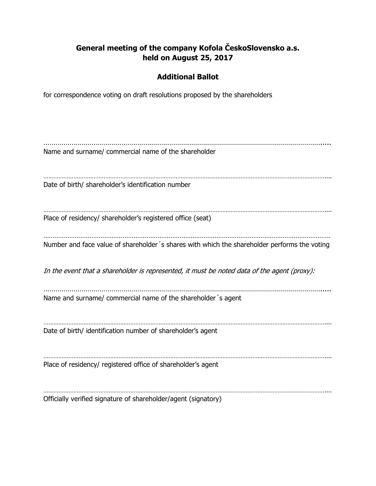## **General meeting of the company Kofola ČeskoSlovensko a.s. held on August 25, 2017**

## **Additional Ballot**

for correspondence voting on draft resolutions proposed by the shareholders

…………………………………………………………………………………………………………………………..... Name and surname/ commercial name of the shareholder …………………………………………………………………………………………………………………………………………………….... Date of birth/ shareholder's identification number …………………………………………………………………………………………………………………………………………………….... Place of residency/ shareholder's registered office (seat) ………………………………………………………………………………………………………………………………………… Number and face value of shareholder´s shares with which the shareholder performs the voting In the event that a shareholder is represented, it must be noted data of the agent (proxy): …………………………………………………………………………………………………………………………..... Name and surname/ commercial name of the shareholder´s agent …………………………………………………………………………………………………………………………………………………….... Date of birth/ identification number of shareholder's agent …………………………………………………………………………………………………………………………………………………….... Place of residency/ registered office of shareholder's agent …………………………………………………………………………………………………………………………………………………….... Officially verified signature of shareholder/agent (signatory)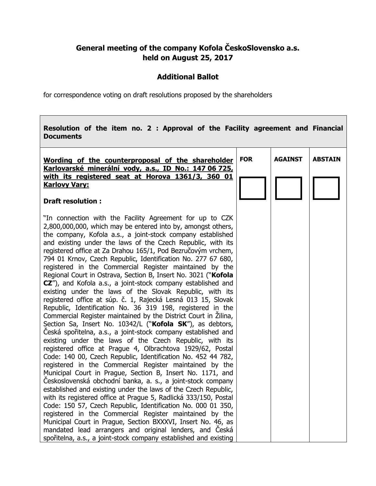## **General meeting of the company Kofola ČeskoSlovensko a.s. held on August 25, 2017**

## **Additional Ballot**

 $\overline{\phantom{a}}$ 

for correspondence voting on draft resolutions proposed by the shareholders

**The Company** 

| Resolution of the item no. 2 : Approval of the Facility agreement and Financial<br><b>Documents</b>                                                                                                                                                                                                                                                                                                                                                                                                                                                                                                                                                                                                                                                                                                                                                                                                                                                                                                                                                                                                                                                                                                                                                                                                                                                                                                                                                                                                                                                                                                                                                                                                                                                                                                                             |            |                |                |
|---------------------------------------------------------------------------------------------------------------------------------------------------------------------------------------------------------------------------------------------------------------------------------------------------------------------------------------------------------------------------------------------------------------------------------------------------------------------------------------------------------------------------------------------------------------------------------------------------------------------------------------------------------------------------------------------------------------------------------------------------------------------------------------------------------------------------------------------------------------------------------------------------------------------------------------------------------------------------------------------------------------------------------------------------------------------------------------------------------------------------------------------------------------------------------------------------------------------------------------------------------------------------------------------------------------------------------------------------------------------------------------------------------------------------------------------------------------------------------------------------------------------------------------------------------------------------------------------------------------------------------------------------------------------------------------------------------------------------------------------------------------------------------------------------------------------------------|------------|----------------|----------------|
| Wording of the counterproposal of the shareholder<br>Karlovarské minerální vody, a.s., ID No.: 147 06 725,                                                                                                                                                                                                                                                                                                                                                                                                                                                                                                                                                                                                                                                                                                                                                                                                                                                                                                                                                                                                                                                                                                                                                                                                                                                                                                                                                                                                                                                                                                                                                                                                                                                                                                                      | <b>FOR</b> | <b>AGAINST</b> | <b>ABSTAIN</b> |
| with its registered seat at Horova 1361/3, 360 01<br><b>Karlovy Vary:</b>                                                                                                                                                                                                                                                                                                                                                                                                                                                                                                                                                                                                                                                                                                                                                                                                                                                                                                                                                                                                                                                                                                                                                                                                                                                                                                                                                                                                                                                                                                                                                                                                                                                                                                                                                       |            |                |                |
| <b>Draft resolution:</b>                                                                                                                                                                                                                                                                                                                                                                                                                                                                                                                                                                                                                                                                                                                                                                                                                                                                                                                                                                                                                                                                                                                                                                                                                                                                                                                                                                                                                                                                                                                                                                                                                                                                                                                                                                                                        |            |                |                |
| "In connection with the Facility Agreement for up to CZK<br>2,800,000,000, which may be entered into by, amongst others,<br>the company, Kofola a.s., a joint-stock company established<br>and existing under the laws of the Czech Republic, with its<br>registered office at Za Drahou 165/1, Pod Bezručovým vrchem,<br>794 01 Krnov, Czech Republic, Identification No. 277 67 680,<br>registered in the Commercial Register maintained by the<br>Regional Court in Ostrava, Section B, Insert No. 3021 ("Kofola<br>CZ"), and Kofola a.s., a joint-stock company established and<br>existing under the laws of the Slovak Republic, with its<br>registered office at súp. č. 1, Rajecká Lesná 013 15, Slovak<br>Republic, Identification No. 36 319 198, registered in the<br>Commercial Register maintained by the District Court in Zilina,<br>Section Sa, Insert No. 10342/L ("Kofola SK"), as debtors,<br>Česká spořitelna, a.s., a joint-stock company established and<br>existing under the laws of the Czech Republic, with its<br>registered office at Prague 4, Olbrachtova 1929/62, Postal<br>Code: 140 00, Czech Republic, Identification No. 452 44 782,<br>registered in the Commercial Register maintained by the<br>Municipal Court in Prague, Section B, Insert No. 1171, and<br>Československá obchodní banka, a. s., a joint-stock company<br>established and existing under the laws of the Czech Republic,<br>with its registered office at Prague 5, Radlická 333/150, Postal<br>Code: 150 57, Czech Republic, Identification No. 000 01 350,<br>registered in the Commercial Register maintained by the<br>Municipal Court in Prague, Section BXXXVI, Insert No. 46, as<br>mandated lead arrangers and original lenders, and Ceská<br>spořitelna, a.s., a joint-stock company established and existing |            |                |                |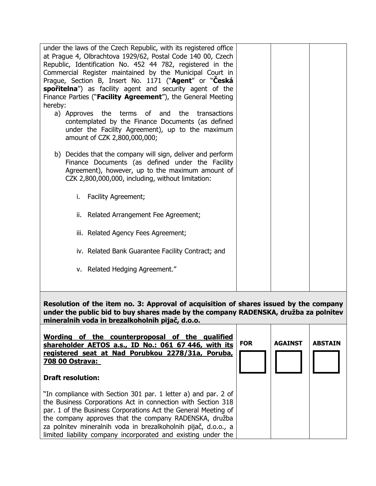| under the laws of the Czech Republic, with its registered office<br>at Prague 4, Olbrachtova 1929/62, Postal Code 140 00, Czech<br>Republic, Identification No. 452 44 782, registered in the<br>Commercial Register maintained by the Municipal Court in<br>Prague, Section B, Insert No. 1171 ("Agent" or "Ceská<br>spořitelna") as facility agent and security agent of the<br>Finance Parties (" <b>Facility Agreement</b> "), the General Meeting |  |
|--------------------------------------------------------------------------------------------------------------------------------------------------------------------------------------------------------------------------------------------------------------------------------------------------------------------------------------------------------------------------------------------------------------------------------------------------------|--|
| hereby:                                                                                                                                                                                                                                                                                                                                                                                                                                                |  |
| a) Approves the terms of and<br>the transactions<br>contemplated by the Finance Documents (as defined<br>under the Facility Agreement), up to the maximum<br>amount of CZK 2,800,000,000;                                                                                                                                                                                                                                                              |  |
| b) Decides that the company will sign, deliver and perform<br>Finance Documents (as defined under the Facility<br>Agreement), however, up to the maximum amount of<br>CZK 2,800,000,000, including, without limitation:                                                                                                                                                                                                                                |  |
| <b>Facility Agreement;</b><br>i.                                                                                                                                                                                                                                                                                                                                                                                                                       |  |
| ii. Related Arrangement Fee Agreement;                                                                                                                                                                                                                                                                                                                                                                                                                 |  |
| iii. Related Agency Fees Agreement;                                                                                                                                                                                                                                                                                                                                                                                                                    |  |
| iv. Related Bank Guarantee Facility Contract; and                                                                                                                                                                                                                                                                                                                                                                                                      |  |
| v. Related Hedging Agreement."                                                                                                                                                                                                                                                                                                                                                                                                                         |  |
| Resolution of the item no. 3: Approval of acquisition of shares issued by the company<br>under the public bid to buy shares made by the company RADENSKA, družba za polnitev                                                                                                                                                                                                                                                                           |  |

**under the public bid to buy shares made by the company RADENSKA, družba za polnitev mineralnih voda in brezalkoholnih pijač, d.o.o.**  Т  $\overline{\phantom{a}}$ 

| Wording of the counterproposal of the qualified<br>shareholder AETOS a.s., ID No.: 061 67 446, with its<br>registered seat at Nad Porubkou 2278/31a, Poruba,<br>708 00 Ostrava:<br><b>Draft resolution:</b>                                                                                                                                                                                   | <b>FOR</b> | <b>AGAINST</b> | <b>ABSTAIN</b> |
|-----------------------------------------------------------------------------------------------------------------------------------------------------------------------------------------------------------------------------------------------------------------------------------------------------------------------------------------------------------------------------------------------|------------|----------------|----------------|
| "In compliance with Section 301 par. 1 letter a) and par. 2 of<br>the Business Corporations Act in connection with Section 318<br>par. 1 of the Business Corporations Act the General Meeting of<br>the company approves that the company RADENSKA, družba<br>za polnitev mineralnih voda in brezalkoholnih pijač, d.o.o., a<br>limited liability company incorporated and existing under the |            |                |                |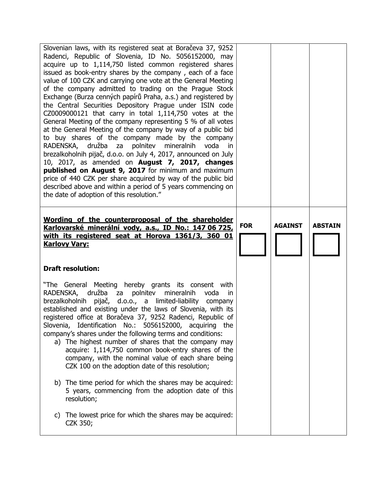| Slovenian laws, with its registered seat at Boračeva 37, 9252<br>Radenci, Republic of Slovenia, ID No. 5056152000, may<br>acquire up to 1,114,750 listed common registered shares<br>issued as book-entry shares by the company, each of a face<br>value of 100 CZK and carrying one vote at the General Meeting<br>of the company admitted to trading on the Prague Stock<br>Exchange (Burza cenných papírů Praha, a.s.) and registered by<br>the Central Securities Depository Prague under ISIN code<br>CZ0009000121 that carry in total $1,114,750$ votes at the<br>General Meeting of the company representing 5 % of all votes<br>at the General Meeting of the company by way of a public bid<br>to buy shares of the company made by the company<br>RADENSKA, družba<br>polnitev<br>za<br>mineralnih<br>voda<br>in.<br>brezalkoholnih pijač, d.o.o. on July 4, 2017, announced on July<br>10, 2017, as amended on <b>August 7, 2017, changes</b><br>published on August 9, 2017 for minimum and maximum<br>price of 440 CZK per share acquired by way of the public bid<br>described above and within a period of 5 years commencing on<br>the date of adoption of this resolution." |            |                |                |
|----------------------------------------------------------------------------------------------------------------------------------------------------------------------------------------------------------------------------------------------------------------------------------------------------------------------------------------------------------------------------------------------------------------------------------------------------------------------------------------------------------------------------------------------------------------------------------------------------------------------------------------------------------------------------------------------------------------------------------------------------------------------------------------------------------------------------------------------------------------------------------------------------------------------------------------------------------------------------------------------------------------------------------------------------------------------------------------------------------------------------------------------------------------------------------------------|------------|----------------|----------------|
| Wording of the counterproposal of the shareholder<br>Karlovarské minerální vody, a.s., ID No.: 147 06 725,<br>with its registered seat at Horova 1361/3, 360 01<br><b>Karlovy Vary:</b>                                                                                                                                                                                                                                                                                                                                                                                                                                                                                                                                                                                                                                                                                                                                                                                                                                                                                                                                                                                                      | <b>FOR</b> | <b>AGAINST</b> | <b>ABSTAIN</b> |
| <b>Draft resolution:</b>                                                                                                                                                                                                                                                                                                                                                                                                                                                                                                                                                                                                                                                                                                                                                                                                                                                                                                                                                                                                                                                                                                                                                                     |            |                |                |
| "The General Meeting hereby grants its consent with<br>RADENSKA, družba za polnitev<br>mineralnih<br>voda<br>in<br>brezalkoholnih pijač, d.o.o., a limited-liability<br>company<br>established and existing under the laws of Slovenia, with its<br>registered office at Boračeva 37, 9252 Radenci, Republic of<br>Slovenia, Identification No.: 5056152000, acquiring the<br>company's shares under the following terms and conditions:<br>a) The highest number of shares that the company may<br>acquire: 1,114,750 common book-entry shares of the<br>company, with the nominal value of each share being<br>CZK 100 on the adoption date of this resolution;                                                                                                                                                                                                                                                                                                                                                                                                                                                                                                                            |            |                |                |
| b) The time period for which the shares may be acquired:<br>5 years, commencing from the adoption date of this<br>resolution;                                                                                                                                                                                                                                                                                                                                                                                                                                                                                                                                                                                                                                                                                                                                                                                                                                                                                                                                                                                                                                                                |            |                |                |
| c) The lowest price for which the shares may be acquired:<br>CZK 350;                                                                                                                                                                                                                                                                                                                                                                                                                                                                                                                                                                                                                                                                                                                                                                                                                                                                                                                                                                                                                                                                                                                        |            |                |                |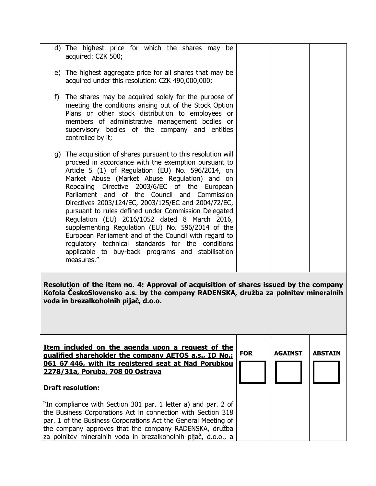| d) The highest price for which the shares may be<br>acquired: CZK 500;                                                                                                                                                                                                                                                                                                                                                                                                                                                                                                                                                                                                                                                             |            |                |                |
|------------------------------------------------------------------------------------------------------------------------------------------------------------------------------------------------------------------------------------------------------------------------------------------------------------------------------------------------------------------------------------------------------------------------------------------------------------------------------------------------------------------------------------------------------------------------------------------------------------------------------------------------------------------------------------------------------------------------------------|------------|----------------|----------------|
| e) The highest aggregate price for all shares that may be<br>acquired under this resolution: CZK 490,000,000;                                                                                                                                                                                                                                                                                                                                                                                                                                                                                                                                                                                                                      |            |                |                |
| The shares may be acquired solely for the purpose of<br>f)<br>meeting the conditions arising out of the Stock Option<br>Plans or other stock distribution to employees or<br>members of administrative management bodies or<br>supervisory bodies of the company and entities<br>controlled by it;                                                                                                                                                                                                                                                                                                                                                                                                                                 |            |                |                |
| g) The acquisition of shares pursuant to this resolution will<br>proceed in accordance with the exemption pursuant to<br>Article 5 (1) of Regulation (EU) No. 596/2014, on<br>Market Abuse (Market Abuse Regulation) and on<br>Repealing Directive 2003/6/EC of the European<br>Parliament and of the Council and Commission<br>Directives 2003/124/EC, 2003/125/EC and 2004/72/EC,<br>pursuant to rules defined under Commission Delegated<br>Regulation (EU) 2016/1052 dated 8 March 2016,<br>supplementing Regulation (EU) No. 596/2014 of the<br>European Parliament and of the Council with regard to<br>regulatory technical standards for the conditions<br>applicable to buy-back programs and stabilisation<br>measures." |            |                |                |
| Resolution of the item no. 4: Approval of acquisition of shares issued by the company<br>Kofola ČeskoSlovensko a.s. by the company RADENSKA, družba za polnitev mineralnih<br>voda in brezalkoholnih pijač, d.o.o.                                                                                                                                                                                                                                                                                                                                                                                                                                                                                                                 |            |                |                |
| Item included on the agenda upon a request of the<br>qualified shareholder the company AETOS a.s., ID No.:<br>061 67 446, with its registered seat at Nad Porubkou<br>2278/31a, Poruba, 708 00 Ostrava                                                                                                                                                                                                                                                                                                                                                                                                                                                                                                                             | <b>FOR</b> | <b>AGAINST</b> | <b>ABSTAIN</b> |
| <b>Draft resolution:</b>                                                                                                                                                                                                                                                                                                                                                                                                                                                                                                                                                                                                                                                                                                           |            |                |                |
| "In compliance with Section 301 par. 1 letter a) and par. 2 of                                                                                                                                                                                                                                                                                                                                                                                                                                                                                                                                                                                                                                                                     |            |                |                |

the Business Corporations Act in connection with Section 318 par. 1 of the Business Corporations Act the General Meeting of the company approves that the company RADENSKA, družba za polnitev mineralnih voda in brezalkoholnih pijač, d.o.o., a